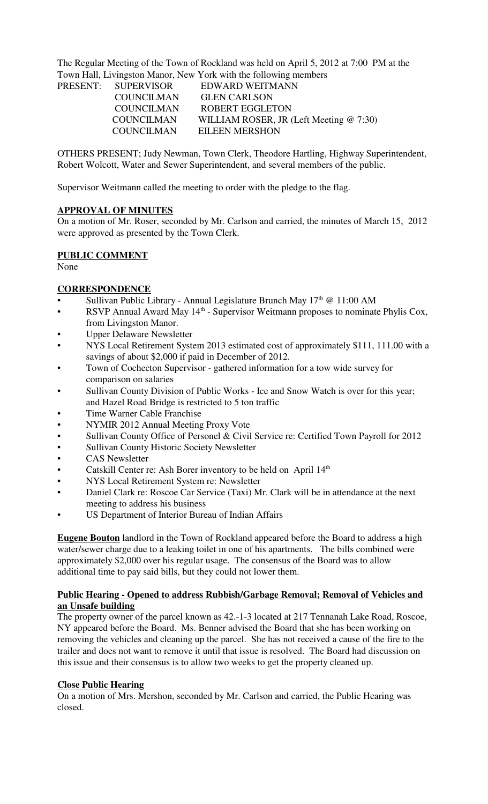The Regular Meeting of the Town of Rockland was held on April 5, 2012 at 7:00 PM at the Town Hall, Livingston Manor, New York with the following members

| PRESENT: SUPERVISOR | EDWARD WEITMANN                            |
|---------------------|--------------------------------------------|
| <b>COUNCILMAN</b>   | <b>GLEN CARLSON</b>                        |
| COUNCILMAN          | ROBERT EGGLETON                            |
| <b>COUNCILMAN</b>   | WILLIAM ROSER, JR (Left Meeting $@ 7:30$ ) |
| <b>COUNCILMAN</b>   | <b>EILEEN MERSHON</b>                      |

OTHERS PRESENT; Judy Newman, Town Clerk, Theodore Hartling, Highway Superintendent, Robert Wolcott, Water and Sewer Superintendent, and several members of the public.

Supervisor Weitmann called the meeting to order with the pledge to the flag.

#### **APPROVAL OF MINUTES**

On a motion of Mr. Roser, seconded by Mr. Carlson and carried, the minutes of March 15, 2012 were approved as presented by the Town Clerk.

#### **PUBLIC COMMENT**

None

#### **CORRESPONDENCE**

- Sullivan Public Library Annual Legislature Brunch May  $17<sup>th</sup>$  @ 11:00 AM
- RSVP Annual Award May  $14<sup>th</sup>$  Supervisor Weitmann proposes to nominate Phylis Cox, from Livingston Manor.
- Upper Delaware Newsletter
- NYS Local Retirement System 2013 estimated cost of approximately \$111, 111.00 with a savings of about \$2,000 if paid in December of 2012.
- Town of Cochecton Supervisor gathered information for a tow wide survey for comparison on salaries
- Sullivan County Division of Public Works Ice and Snow Watch is over for this year; and Hazel Road Bridge is restricted to 5 ton traffic
- Time Warner Cable Franchise
- NYMIR 2012 Annual Meeting Proxy Vote
- Sullivan County Office of Personel & Civil Service re: Certified Town Payroll for 2012
- Sullivan County Historic Society Newsletter
- CAS Newsletter
- Catskill Center re: Ash Borer inventory to be held on April 14<sup>th</sup>
- NYS Local Retirement System re: Newsletter
- Daniel Clark re: Roscoe Car Service (Taxi) Mr. Clark will be in attendance at the next meeting to address his business
- US Department of Interior Bureau of Indian Affairs

**Eugene Bouton** landlord in the Town of Rockland appeared before the Board to address a high water/sewer charge due to a leaking toilet in one of his apartments. The bills combined were approximately \$2,000 over his regular usage. The consensus of the Board was to allow additional time to pay said bills, but they could not lower them.

#### **Public Hearing - Opened to address Rubbish/Garbage Removal; Removal of Vehicles and an Unsafe building**

The property owner of the parcel known as 42.-1-3 located at 217 Tennanah Lake Road, Roscoe, NY appeared before the Board. Ms. Benner advised the Board that she has been working on removing the vehicles and cleaning up the parcel. She has not received a cause of the fire to the trailer and does not want to remove it until that issue is resolved. The Board had discussion on this issue and their consensus is to allow two weeks to get the property cleaned up.

#### **Close Public Hearing**

On a motion of Mrs. Mershon, seconded by Mr. Carlson and carried, the Public Hearing was closed.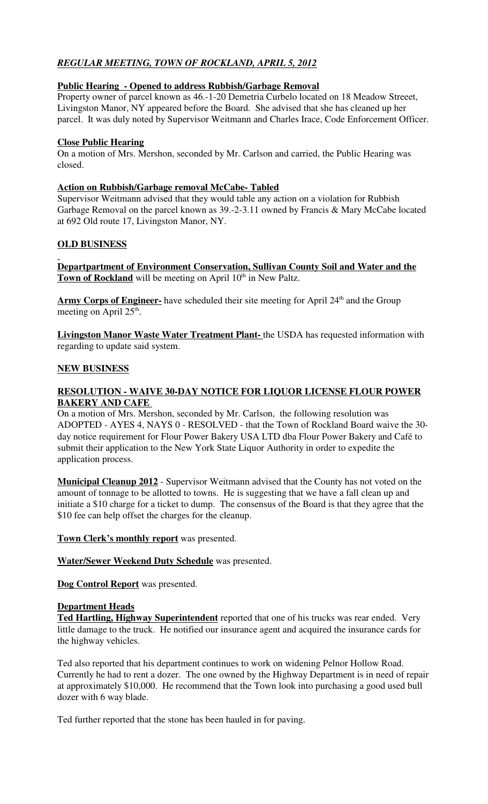# *REGULAR MEETING, TOWN OF ROCKLAND, APRIL 5, 2012*

# **Public Hearing - Opened to address Rubbish/Garbage Removal**

Property owner of parcel known as 46.-1-20 Demetria Curbelo located on 18 Meadow Streeet, Livingston Manor, NY appeared before the Board. She advised that she has cleaned up her parcel. It was duly noted by Supervisor Weitmann and Charles Irace, Code Enforcement Officer.

#### **Close Public Hearing**

On a motion of Mrs. Mershon, seconded by Mr. Carlson and carried, the Public Hearing was closed.

# **Action on Rubbish/Garbage removal McCabe- Tabled**

Supervisor Weitmann advised that they would table any action on a violation for Rubbish Garbage Removal on the parcel known as 39.-2-3.11 owned by Francis & Mary McCabe located at 692 Old route 17, Livingston Manor, NY.

# **OLD BUSINESS**

**Departpartment of Environment Conservation, Sullivan County Soil and Water and the Town of Rockland** will be meeting on April 10<sup>th</sup> in New Paltz.

Army Corps of Engineer- have scheduled their site meeting for April 24<sup>th</sup> and the Group meeting on April 25<sup>th</sup>.

**Livingston Manor Waste Water Treatment Plant-** the USDA has requested information with regarding to update said system.

# **NEW BUSINESS**

# **RESOLUTION - WAIVE 30-DAY NOTICE FOR LIQUOR LICENSE FLOUR POWER BAKERY AND CAFE**

On a motion of Mrs. Mershon, seconded by Mr. Carlson, the following resolution was ADOPTED - AYES 4, NAYS 0 - RESOLVED - that the Town of Rockland Board waive the 30 day notice requirement for Flour Power Bakery USA LTD dba Flour Power Bakery and Café to submit their application to the New York State Liquor Authority in order to expedite the application process.

**Municipal Cleanup 2012** - Supervisor Weitmann advised that the County has not voted on the amount of tonnage to be allotted to towns. He is suggesting that we have a fall clean up and initiate a \$10 charge for a ticket to dump. The consensus of the Board is that they agree that the \$10 fee can help offset the charges for the cleanup.

**Town Clerk's monthly report** was presented.

**Water/Sewer Weekend Duty Schedule** was presented.

**Dog Control Report** was presented.

#### **Department Heads**

**Ted Hartling, Highway Superintendent** reported that one of his trucks was rear ended. Very little damage to the truck. He notified our insurance agent and acquired the insurance cards for the highway vehicles.

Ted also reported that his department continues to work on widening Pelnor Hollow Road. Currently he had to rent a dozer. The one owned by the Highway Department is in need of repair at approximately \$10,000. He recommend that the Town look into purchasing a good used bull dozer with 6 way blade.

Ted further reported that the stone has been hauled in for paving.